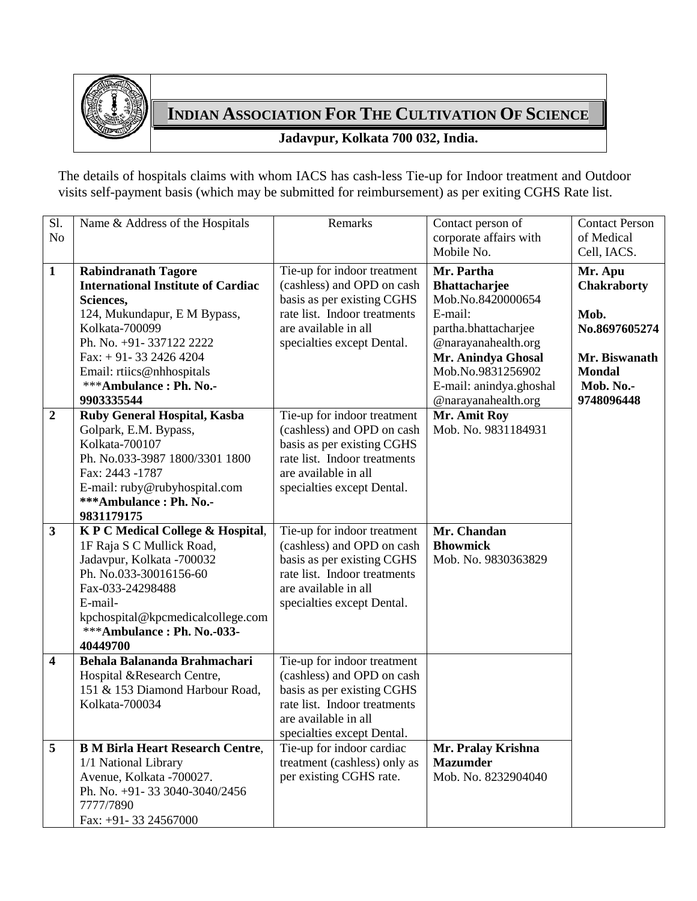

## **INDIAN ASSOCIATION FOR THE CULTIVATION OF SCIENCE**

## **Jadavpur, Kolkata 700 032, India.**

The details of hospitals claims with whom IACS has cash-less Tie-up for Indoor treatment and Outdoor visits self-payment basis (which may be submitted for reimbursement) as per exiting CGHS Rate list.

| Sl.<br>N <sub>o</sub>   | Name & Address of the Hospitals                                                                                                                                                                                                                                 | Remarks                                                                                                                                                                       | Contact person of<br>corporate affairs with<br>Mobile No.                                                                                                                                                      | <b>Contact Person</b><br>of Medical<br>Cell, IACS.                                                                  |
|-------------------------|-----------------------------------------------------------------------------------------------------------------------------------------------------------------------------------------------------------------------------------------------------------------|-------------------------------------------------------------------------------------------------------------------------------------------------------------------------------|----------------------------------------------------------------------------------------------------------------------------------------------------------------------------------------------------------------|---------------------------------------------------------------------------------------------------------------------|
| $\mathbf{1}$            | <b>Rabindranath Tagore</b><br><b>International Institute of Cardiac</b><br>Sciences,<br>124, Mukundapur, E M Bypass,<br>Kolkata-700099<br>Ph. No. +91-337122 2222<br>Fax: $+91-3324264204$<br>Email: rtiics@nhhospitals<br>***Ambulance: Ph. No.-<br>9903335544 | Tie-up for indoor treatment<br>(cashless) and OPD on cash<br>basis as per existing CGHS<br>rate list. Indoor treatments<br>are available in all<br>specialties except Dental. | Mr. Partha<br><b>Bhattacharjee</b><br>Mob.No.8420000654<br>E-mail:<br>partha.bhattacharjee<br>@narayanahealth.org<br>Mr. Anindya Ghosal<br>Mob.No.9831256902<br>E-mail: anindya.ghoshal<br>@narayanahealth.org | Mr. Apu<br><b>Chakraborty</b><br>Mob.<br>No.8697605274<br>Mr. Biswanath<br><b>Mondal</b><br>Mob. No.-<br>9748096448 |
| $\boldsymbol{2}$        | Ruby General Hospital, Kasba<br>Golpark, E.M. Bypass,<br>Kolkata-700107<br>Ph. No.033-3987 1800/3301 1800<br>Fax: 2443 -1787<br>E-mail: ruby@rubyhospital.com<br>***Ambulance: Ph. No.-<br>9831179175                                                           | Tie-up for indoor treatment<br>(cashless) and OPD on cash<br>basis as per existing CGHS<br>rate list. Indoor treatments<br>are available in all<br>specialties except Dental. | Mr. Amit Roy<br>Mob. No. 9831184931                                                                                                                                                                            |                                                                                                                     |
| $\overline{\mathbf{3}}$ | K P C Medical College & Hospital,<br>1F Raja S C Mullick Road,<br>Jadavpur, Kolkata -700032<br>Ph. No.033-30016156-60<br>Fax-033-24298488<br>E-mail-<br>kpchospital@kpcmedicalcollege.com<br>***Ambulance: Ph. No.-033-<br>40449700                             | Tie-up for indoor treatment<br>(cashless) and OPD on cash<br>basis as per existing CGHS<br>rate list. Indoor treatments<br>are available in all<br>specialties except Dental. | Mr. Chandan<br><b>Bhowmick</b><br>Mob. No. 9830363829                                                                                                                                                          |                                                                                                                     |
| $\overline{\mathbf{4}}$ | Behala Balananda Brahmachari<br>Hospital &Research Centre,<br>151 & 153 Diamond Harbour Road,<br>Kolkata-700034                                                                                                                                                 | Tie-up for indoor treatment<br>(cashless) and OPD on cash<br>basis as per existing CGHS<br>rate list. Indoor treatments<br>are available in all<br>specialties except Dental. |                                                                                                                                                                                                                |                                                                                                                     |
| 5                       | <b>B M Birla Heart Research Centre,</b><br>1/1 National Library<br>Avenue, Kolkata -700027.<br>Ph. No. +91-33 3040-3040/2456<br>7777/7890<br>Fax: +91-33 24567000                                                                                               | Tie-up for indoor cardiac<br>treatment (cashless) only as<br>per existing CGHS rate.                                                                                          | Mr. Pralay Krishna<br><b>Mazumder</b><br>Mob. No. 8232904040                                                                                                                                                   |                                                                                                                     |